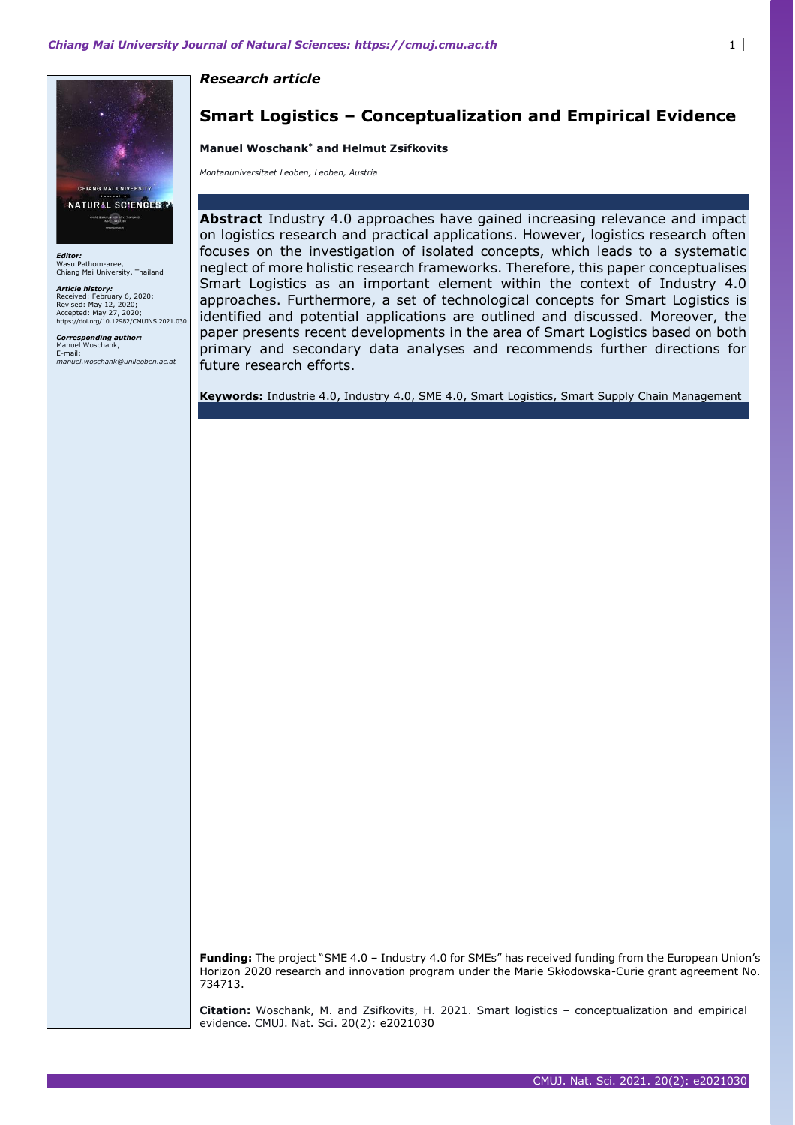*Research article* 

### **Smart Logistics – Conceptualization and Empirical Evidence**

#### **Manuel Woschank\* and Helmut Zsifkovits**

*Montanuniversitaet Leoben, Leoben, Austria* 

**Abstract** Industry 4.0 approaches have gained increasing relevance and impact on logistics research and practical applications. However, logistics research often focuses on the investigation of isolated concepts, which leads to a systematic neglect of more holistic research frameworks. Therefore, this paper conceptualises Smart Logistics as an important element within the context of Industry 4.0 approaches. Furthermore, a set of technological concepts for Smart Logistics is identified and potential applications are outlined and discussed. Moreover, the paper presents recent developments in the area of Smart Logistics based on both primary and secondary data analyses and recommends further directions for future research efforts.

**Keywords:** Industrie 4.0, Industry 4.0, SME 4.0, Smart Logistics, Smart Supply Chain Management

**Funding:** The project "SME 4.0 – Industry 4.0 for SMEs" has received funding from the European Union's Horizon 2020 research and innovation program under the Marie Skłodowska-Curie grant agreement No. 734713.

**Citation:** Woschank, M. and Zsifkovits, H. 2021. Smart logistics – conceptualization and empirical evidence. CMUJ. Nat. Sci. 20(2): e2021030



*Editor:*  Wasu Pathom-aree, Chiang Mai University, Thailand

*Article history:*  Received: February 6, 2020; Revised: May 12, 2020; Accepted: May 27, 2020; https://doi.org/10.12982/CMUJNS.2021.030

*Corresponding author:*  anuel Woschank E-mail: *manuel.woschank@unileoben.ac.at*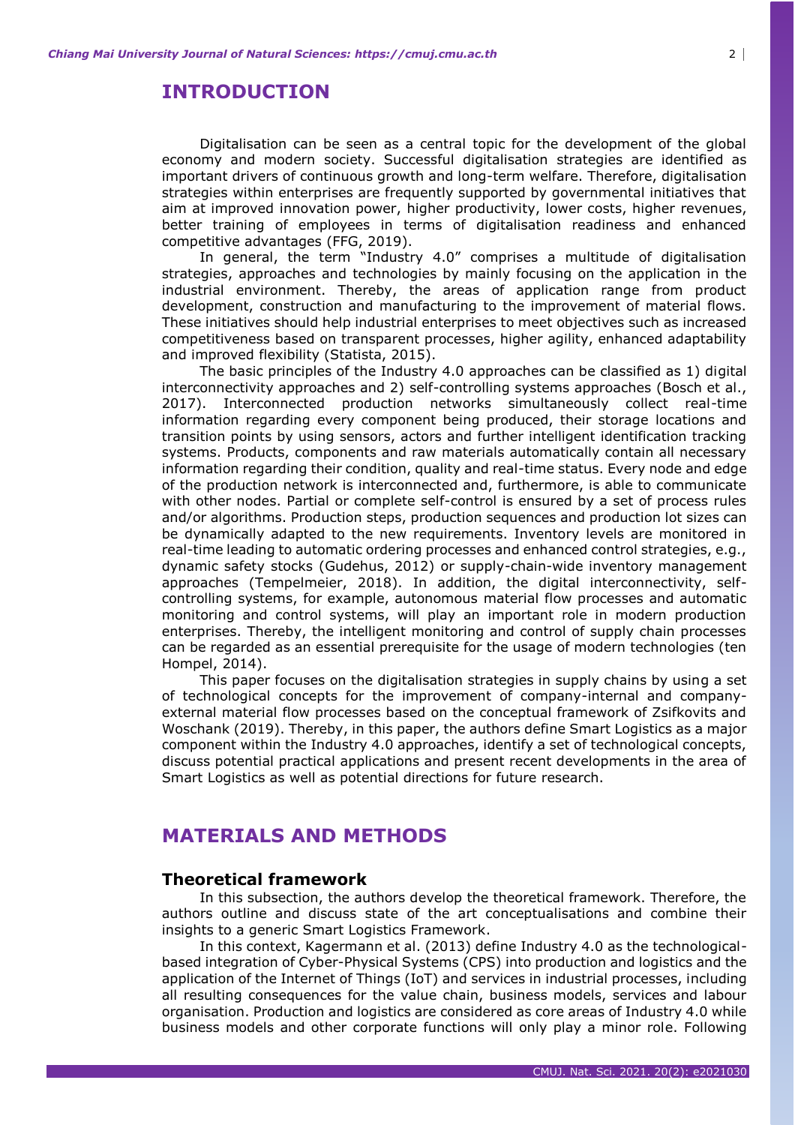### **INTRODUCTION**

Digitalisation can be seen as a central topic for the development of the global economy and modern society. Successful digitalisation strategies are identified as important drivers of continuous growth and long-term welfare. Therefore, digitalisation strategies within enterprises are frequently supported by governmental initiatives that aim at improved innovation power, higher productivity, lower costs, higher revenues, better training of employees in terms of digitalisation readiness and enhanced competitive advantages (FFG, 2019).

In general, the term "Industry 4.0" comprises a multitude of digitalisation strategies, approaches and technologies by mainly focusing on the application in the industrial environment. Thereby, the areas of application range from product development, construction and manufacturing to the improvement of material flows. These initiatives should help industrial enterprises to meet objectives such as increased competitiveness based on transparent processes, higher agility, enhanced adaptability and improved flexibility (Statista, 2015).

The basic principles of the Industry 4.0 approaches can be classified as 1) digital interconnectivity approaches and 2) self-controlling systems approaches (Bosch et al., 2017). Interconnected production networks simultaneously collect real-time information regarding every component being produced, their storage locations and transition points by using sensors, actors and further intelligent identification tracking systems. Products, components and raw materials automatically contain all necessary information regarding their condition, quality and real-time status. Every node and edge of the production network is interconnected and, furthermore, is able to communicate with other nodes. Partial or complete self-control is ensured by a set of process rules and/or algorithms. Production steps, production sequences and production lot sizes can be dynamically adapted to the new requirements. Inventory levels are monitored in real-time leading to automatic ordering processes and enhanced control strategies, e.g., dynamic safety stocks (Gudehus, 2012) or supply-chain-wide inventory management approaches (Tempelmeier, 2018). In addition, the digital interconnectivity, selfcontrolling systems, for example, autonomous material flow processes and automatic monitoring and control systems, will play an important role in modern production enterprises. Thereby, the intelligent monitoring and control of supply chain processes can be regarded as an essential prerequisite for the usage of modern technologies (ten Hompel, 2014).

This paper focuses on the digitalisation strategies in supply chains by using a set of technological concepts for the improvement of company-internal and companyexternal material flow processes based on the conceptual framework of Zsifkovits and Woschank (2019). Thereby, in this paper, the authors define Smart Logistics as a major component within the Industry 4.0 approaches, identify a set of technological concepts, discuss potential practical applications and present recent developments in the area of Smart Logistics as well as potential directions for future research.

# **MATERIALS AND METHODS**

### **Theoretical framework**

In this subsection, the authors develop the theoretical framework. Therefore, the authors outline and discuss state of the art conceptualisations and combine their insights to a generic Smart Logistics Framework.

In this context, Kagermann et al. (2013) define Industry 4.0 as the technologicalbased integration of Cyber-Physical Systems (CPS) into production and logistics and the application of the Internet of Things (IoT) and services in industrial processes, including all resulting consequences for the value chain, business models, services and labour organisation. Production and logistics are considered as core areas of Industry 4.0 while business models and other corporate functions will only play a minor role. Following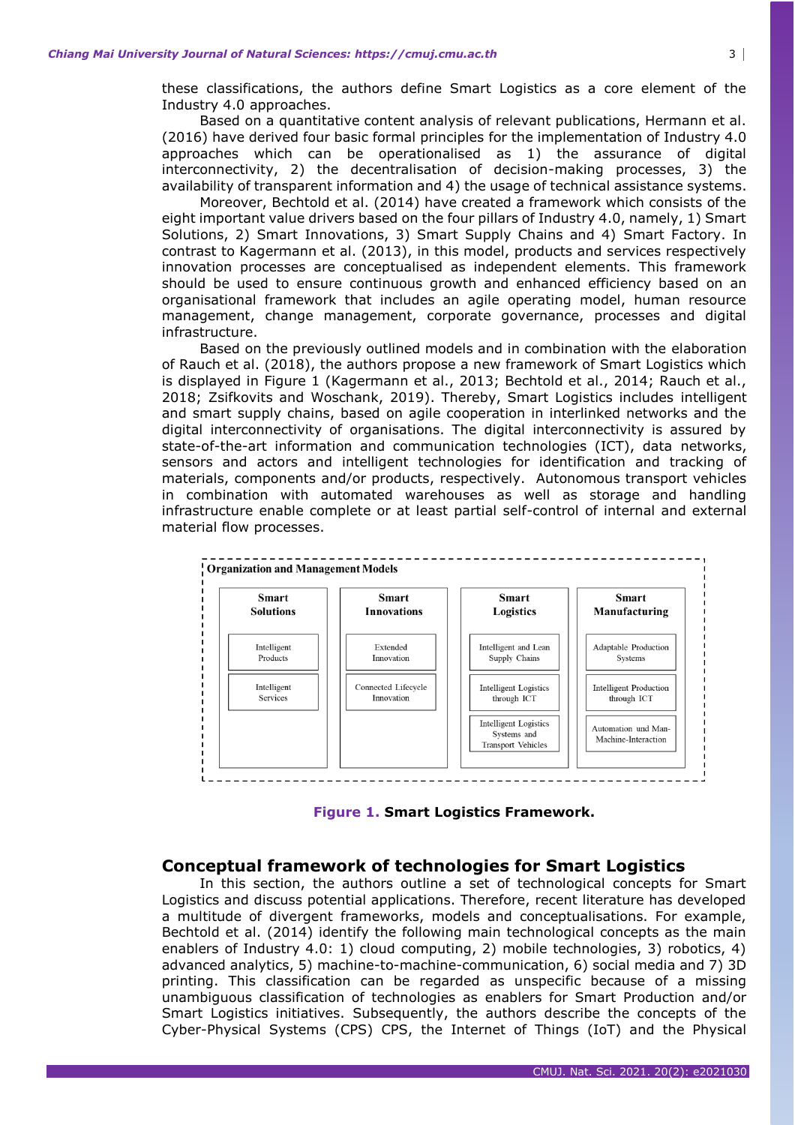these classifications, the authors define Smart Logistics as a core element of the Industry 4.0 approaches.

Based on a quantitative content analysis of relevant publications, Hermann et al. (2016) have derived four basic formal principles for the implementation of Industry 4.0 approaches which can be operationalised as 1) the assurance of digital interconnectivity, 2) the decentralisation of decision-making processes, 3) the availability of transparent information and 4) the usage of technical assistance systems.

Moreover, Bechtold et al. (2014) have created a framework which consists of the eight important value drivers based on the four pillars of Industry 4.0, namely, 1) Smart Solutions, 2) Smart Innovations, 3) Smart Supply Chains and 4) Smart Factory. In contrast to Kagermann et al. (2013), in this model, products and services respectively innovation processes are conceptualised as independent elements. This framework should be used to ensure continuous growth and enhanced efficiency based on an organisational framework that includes an agile operating model, human resource management, change management, corporate governance, processes and digital infrastructure.

Based on the previously outlined models and in combination with the elaboration of Rauch et al. (2018), the authors propose a new framework of Smart Logistics which is displayed in Figure 1 (Kagermann et al., 2013; Bechtold et al., 2014; Rauch et al., 2018; Zsifkovits and Woschank, 2019). Thereby, Smart Logistics includes intelligent and smart supply chains, based on agile cooperation in interlinked networks and the digital interconnectivity of organisations. The digital interconnectivity is assured by state-of-the-art information and communication technologies (ICT), data networks, sensors and actors and intelligent technologies for identification and tracking of materials, components and/or products, respectively. Autonomous transport vehicles in combination with automated warehouses as well as storage and handling infrastructure enable complete or at least partial self-control of internal and external material flow processes.



**Figure 1. Smart Logistics Framework.**

#### **Conceptual framework of technologies for Smart Logistics**

In this section, the authors outline a set of technological concepts for Smart Logistics and discuss potential applications. Therefore, recent literature has developed a multitude of divergent frameworks, models and conceptualisations. For example, Bechtold et al. (2014) identify the following main technological concepts as the main enablers of Industry 4.0: 1) cloud computing, 2) mobile technologies, 3) robotics, 4) advanced analytics, 5) machine-to-machine-communication, 6) social media and 7) 3D printing. This classification can be regarded as unspecific because of a missing unambiguous classification of technologies as enablers for Smart Production and/or Smart Logistics initiatives. Subsequently, the authors describe the concepts of the Cyber-Physical Systems (CPS) CPS, the Internet of Things (IoT) and the Physical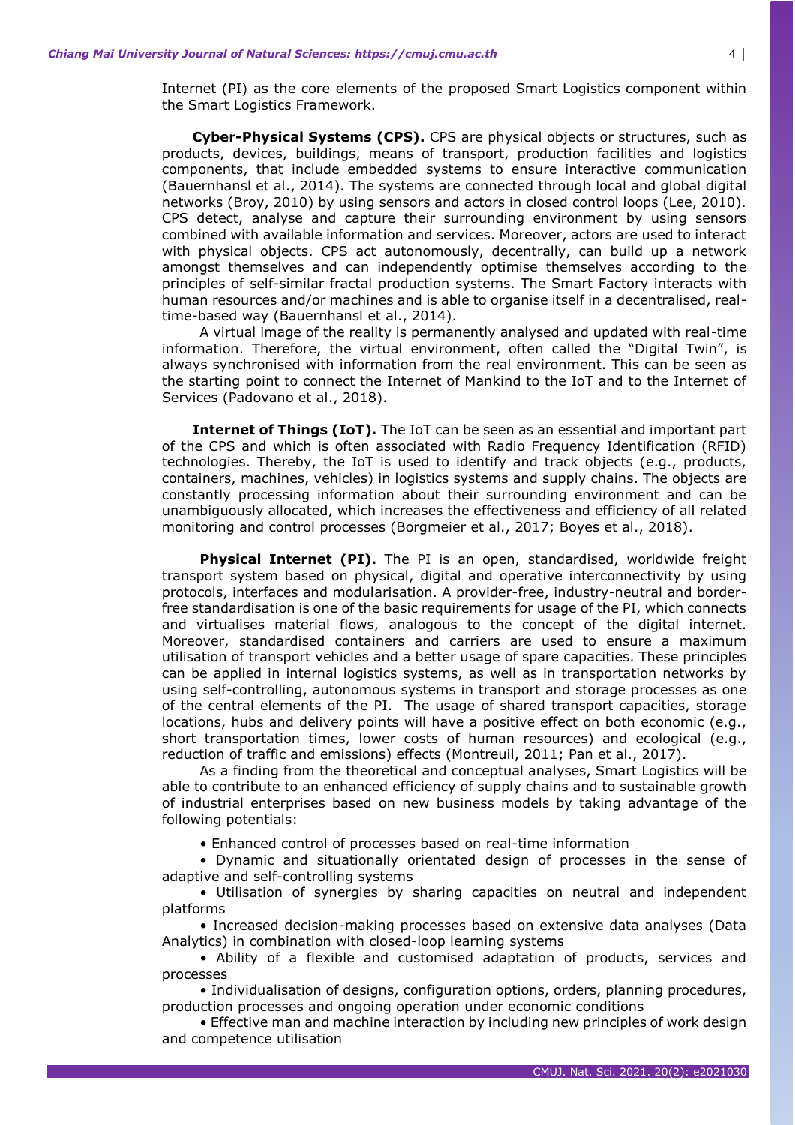Internet (PI) as the core elements of the proposed Smart Logistics component within the Smart Logistics Framework.

**Cyber-Physical Systems (CPS).** CPS are physical objects or structures, such as products, devices, buildings, means of transport, production facilities and logistics components, that include embedded systems to ensure interactive communication (Bauernhansl et al., 2014). The systems are connected through local and global digital networks (Broy, 2010) by using sensors and actors in closed control loops (Lee, 2010). CPS detect, analyse and capture their surrounding environment by using sensors combined with available information and services. Moreover, actors are used to interact with physical objects. CPS act autonomously, decentrally, can build up a network amongst themselves and can independently optimise themselves according to the principles of self-similar fractal production systems. The Smart Factory interacts with human resources and/or machines and is able to organise itself in a decentralised, realtime-based way (Bauernhansl et al., 2014).

A virtual image of the reality is permanently analysed and updated with real-time information. Therefore, the virtual environment, often called the "Digital Twin", is always synchronised with information from the real environment. This can be seen as the starting point to connect the Internet of Mankind to the IoT and to the Internet of Services (Padovano et al., 2018).

**Internet of Things (IoT).** The IoT can be seen as an essential and important part of the CPS and which is often associated with Radio Frequency Identification (RFID) technologies. Thereby, the IoT is used to identify and track objects (e.g., products, containers, machines, vehicles) in logistics systems and supply chains. The objects are constantly processing information about their surrounding environment and can be unambiguously allocated, which increases the effectiveness and efficiency of all related monitoring and control processes (Borgmeier et al., 2017; Boyes et al., 2018).

**Physical Internet (PI).** The PI is an open, standardised, worldwide freight transport system based on physical, digital and operative interconnectivity by using protocols, interfaces and modularisation. A provider-free, industry-neutral and borderfree standardisation is one of the basic requirements for usage of the PI, which connects and virtualises material flows, analogous to the concept of the digital internet. Moreover, standardised containers and carriers are used to ensure a maximum utilisation of transport vehicles and a better usage of spare capacities. These principles can be applied in internal logistics systems, as well as in transportation networks by using self-controlling, autonomous systems in transport and storage processes as one of the central elements of the PI. The usage of shared transport capacities, storage locations, hubs and delivery points will have a positive effect on both economic (e.g., short transportation times, lower costs of human resources) and ecological (e.g., reduction of traffic and emissions) effects (Montreuil, 2011; Pan et al., 2017).

As a finding from the theoretical and conceptual analyses, Smart Logistics will be able to contribute to an enhanced efficiency of supply chains and to sustainable growth of industrial enterprises based on new business models by taking advantage of the following potentials:

• Enhanced control of processes based on real-time information

• Dynamic and situationally orientated design of processes in the sense of adaptive and self-controlling systems

• Utilisation of synergies by sharing capacities on neutral and independent platforms

• Increased decision-making processes based on extensive data analyses (Data Analytics) in combination with closed-loop learning systems

• Ability of a flexible and customised adaptation of products, services and processes

• Individualisation of designs, configuration options, orders, planning procedures, production processes and ongoing operation under economic conditions

• Effective man and machine interaction by including new principles of work design and competence utilisation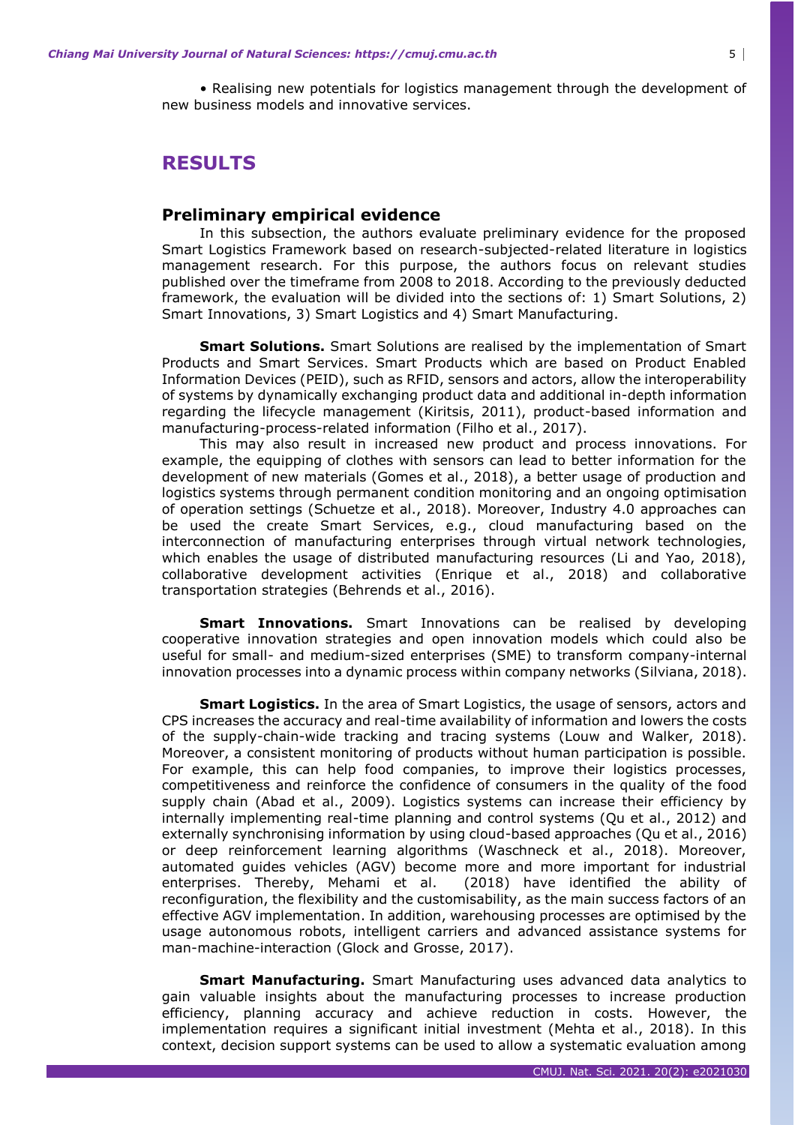• Realising new potentials for logistics management through the development of new business models and innovative services.

## **RESULTS**

#### **Preliminary empirical evidence**

In this subsection, the authors evaluate preliminary evidence for the proposed Smart Logistics Framework based on research-subjected-related literature in logistics management research. For this purpose, the authors focus on relevant studies published over the timeframe from 2008 to 2018. According to the previously deducted framework, the evaluation will be divided into the sections of: 1) Smart Solutions, 2) Smart Innovations, 3) Smart Logistics and 4) Smart Manufacturing.

**Smart Solutions.** Smart Solutions are realised by the implementation of Smart Products and Smart Services. Smart Products which are based on Product Enabled Information Devices (PEID), such as RFID, sensors and actors, allow the interoperability of systems by dynamically exchanging product data and additional in-depth information regarding the lifecycle management (Kiritsis, 2011), product-based information and manufacturing-process-related information (Filho et al., 2017).

This may also result in increased new product and process innovations. For example, the equipping of clothes with sensors can lead to better information for the development of new materials (Gomes et al., 2018), a better usage of production and logistics systems through permanent condition monitoring and an ongoing optimisation of operation settings (Schuetze et al., 2018). Moreover, Industry 4.0 approaches can be used the create Smart Services, e.g., cloud manufacturing based on the interconnection of manufacturing enterprises through virtual network technologies, which enables the usage of distributed manufacturing resources (Li and Yao, 2018), collaborative development activities (Enrique et al., 2018) and collaborative transportation strategies (Behrends et al., 2016).

**Smart Innovations.** Smart Innovations can be realised by developing cooperative innovation strategies and open innovation models which could also be useful for small- and medium-sized enterprises (SME) to transform company-internal innovation processes into a dynamic process within company networks (Silviana, 2018).

**Smart Logistics.** In the area of Smart Logistics, the usage of sensors, actors and CPS increases the accuracy and real-time availability of information and lowers the costs of the supply-chain-wide tracking and tracing systems (Louw and Walker, 2018). Moreover, a consistent monitoring of products without human participation is possible. For example, this can help food companies, to improve their logistics processes, competitiveness and reinforce the confidence of consumers in the quality of the food supply chain (Abad et al., 2009). Logistics systems can increase their efficiency by internally implementing real-time planning and control systems (Qu et al., 2012) and externally synchronising information by using cloud-based approaches (Qu et al., 2016) or deep reinforcement learning algorithms (Waschneck et al., 2018). Moreover, automated guides vehicles (AGV) become more and more important for industrial enterprises. Thereby, Mehami et al. (2018) have identified the ability of reconfiguration, the flexibility and the customisability, as the main success factors of an effective AGV implementation. In addition, warehousing processes are optimised by the usage autonomous robots, intelligent carriers and advanced assistance systems for man-machine-interaction (Glock and Grosse, 2017).

**Smart Manufacturing.** Smart Manufacturing uses advanced data analytics to gain valuable insights about the manufacturing processes to increase production efficiency, planning accuracy and achieve reduction in costs. However, the implementation requires a significant initial investment (Mehta et al., 2018). In this context, decision support systems can be used to allow a systematic evaluation among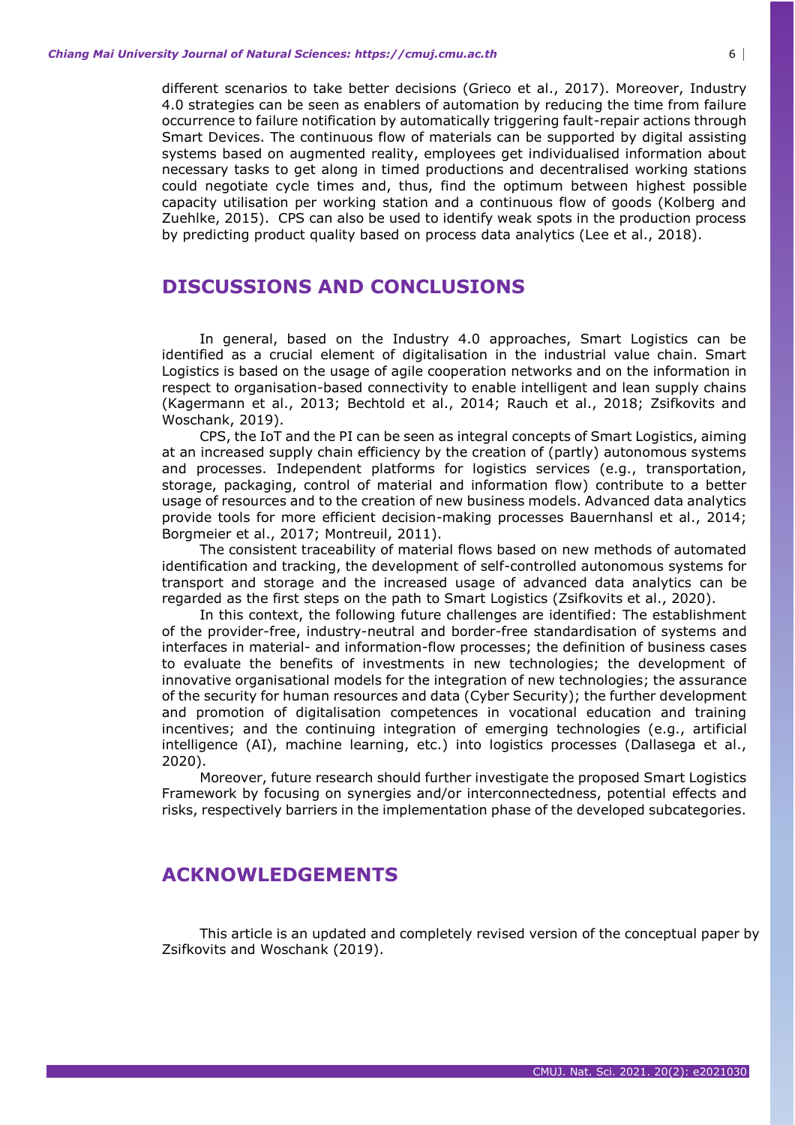different scenarios to take better decisions (Grieco et al., 2017). Moreover, Industry 4.0 strategies can be seen as enablers of automation by reducing the time from failure occurrence to failure notification by automatically triggering fault-repair actions through Smart Devices. The continuous flow of materials can be supported by digital assisting systems based on augmented reality, employees get individualised information about necessary tasks to get along in timed productions and decentralised working stations could negotiate cycle times and, thus, find the optimum between highest possible capacity utilisation per working station and a continuous flow of goods (Kolberg and Zuehlke, 2015). CPS can also be used to identify weak spots in the production process by predicting product quality based on process data analytics (Lee et al., 2018).

# **DISCUSSIONS AND CONCLUSIONS**

In general, based on the Industry 4.0 approaches, Smart Logistics can be identified as a crucial element of digitalisation in the industrial value chain. Smart Logistics is based on the usage of agile cooperation networks and on the information in respect to organisation-based connectivity to enable intelligent and lean supply chains (Kagermann et al., 2013; Bechtold et al., 2014; Rauch et al., 2018; Zsifkovits and Woschank, 2019).

CPS, the IoT and the PI can be seen as integral concepts of Smart Logistics, aiming at an increased supply chain efficiency by the creation of (partly) autonomous systems and processes. Independent platforms for logistics services (e.g., transportation, storage, packaging, control of material and information flow) contribute to a better usage of resources and to the creation of new business models. Advanced data analytics provide tools for more efficient decision-making processes Bauernhansl et al., 2014; Borgmeier et al., 2017; Montreuil, 2011).

The consistent traceability of material flows based on new methods of automated identification and tracking, the development of self-controlled autonomous systems for transport and storage and the increased usage of advanced data analytics can be regarded as the first steps on the path to Smart Logistics (Zsifkovits et al., 2020).

In this context, the following future challenges are identified: The establishment of the provider-free, industry-neutral and border-free standardisation of systems and interfaces in material- and information-flow processes; the definition of business cases to evaluate the benefits of investments in new technologies; the development of innovative organisational models for the integration of new technologies; the assurance of the security for human resources and data (Cyber Security); the further development and promotion of digitalisation competences in vocational education and training incentives; and the continuing integration of emerging technologies (e.g., artificial intelligence (AI), machine learning, etc.) into logistics processes (Dallasega et al., 2020).

Moreover, future research should further investigate the proposed Smart Logistics Framework by focusing on synergies and/or interconnectedness, potential effects and risks, respectively barriers in the implementation phase of the developed subcategories.

# **ACKNOWLEDGEMENTS**

This article is an updated and completely revised version of the conceptual paper by Zsifkovits and Woschank (2019).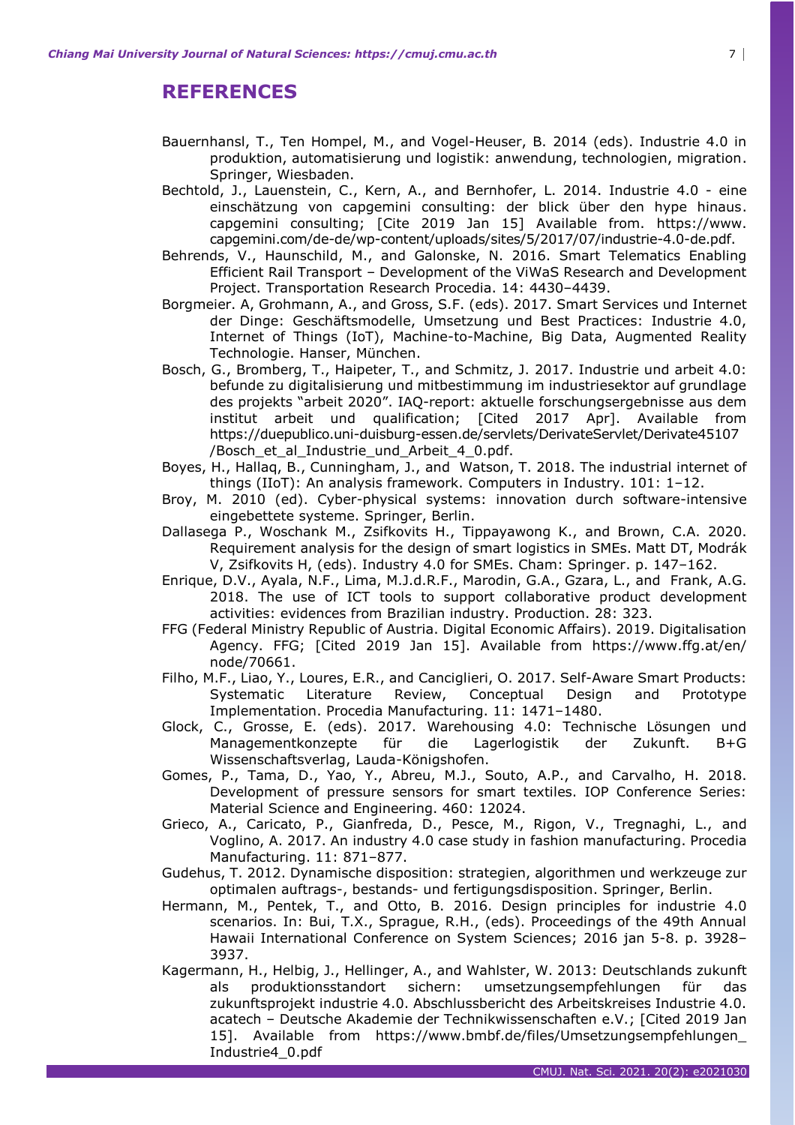# **REFERENCES**

- Bauernhansl, T., Ten Hompel, M., and Vogel-Heuser, B. 2014 (eds). Industrie 4.0 in produktion, automatisierung und logistik: anwendung, technologien, migration. Springer, Wiesbaden.
- Bechtold, J., Lauenstein, C., Kern, A., and Bernhofer, L. 2014. Industrie 4.0 eine einschätzung von capgemini consulting: der blick über den hype hinaus. capgemini consulting; [Cite 2019 Jan 15] Available from. https://www. capgemini.com/de-de/wp-content/uploads/sites/5/2017/07/industrie-4.0-de.pdf.
- Behrends, V., Haunschild, M., and Galonske, N. 2016. Smart Telematics Enabling Efficient Rail Transport – Development of the ViWaS Research and Development Project. Transportation Research Procedia. 14: 4430–4439.
- Borgmeier. A, Grohmann, A., and Gross, S.F. (eds). 2017. Smart Services und Internet der Dinge: Geschäftsmodelle, Umsetzung und Best Practices: Industrie 4.0, Internet of Things (IoT), Machine-to-Machine, Big Data, Augmented Reality Technologie. Hanser, München.
- Bosch, G., Bromberg, T., Haipeter, T., and Schmitz, J. 2017. Industrie und arbeit 4.0: befunde zu digitalisierung und mitbestimmung im industriesektor auf grundlage des projekts "arbeit 2020". IAQ-report: aktuelle forschungsergebnisse aus dem institut arbeit und qualification; [Cited 2017 Apr]. Available from https://duepublico.uni-duisburg-essen.de/servlets/DerivateServlet/Derivate45107 /Bosch\_et\_al\_Industrie\_und\_Arbeit\_4\_0.pdf.
- Boyes, H., Hallaq, B., Cunningham, J., and Watson, T. 2018. The industrial internet of things (IIoT): An analysis framework. Computers in Industry. 101: 1–12.
- Broy, M. 2010 (ed). Cyber-physical systems: innovation durch software-intensive eingebettete systeme. Springer, Berlin.
- Dallasega P., Woschank M., Zsifkovits H., Tippayawong K., and Brown, C.A. 2020. Requirement analysis for the design of smart logistics in SMEs. Matt DT, Modrák V, Zsifkovits H, (eds). Industry 4.0 for SMEs. Cham: Springer. p. 147–162.
- Enrique, D.V., Ayala, N.F., Lima, M.J.d.R.F., Marodin, G.A., Gzara, L., and Frank, A.G. 2018. The use of ICT tools to support collaborative product development activities: evidences from Brazilian industry. Production. 28: 323.
- FFG (Federal Ministry Republic of Austria. Digital Economic Affairs). 2019. Digitalisation Agency. FFG; [Cited 2019 Jan 15]. Available from https://www.ffg.at/en/ node/70661.
- Filho, M.F., Liao, Y., Loures, E.R., and Canciglieri, O. 2017. Self-Aware Smart Products: Systematic Literature Review, Conceptual Design and Prototype Implementation. Procedia Manufacturing. 11: 1471–1480.
- Glock, C., Grosse, E. (eds). 2017. Warehousing 4.0: Technische Lösungen und Managementkonzepte für die Lagerlogistik der Zukunft. B+G Wissenschaftsverlag, Lauda-Königshofen.
- Gomes, P., Tama, D., Yao, Y., Abreu, M.J., Souto, A.P., and Carvalho, H. 2018. Development of pressure sensors for smart textiles. IOP Conference Series: Material Science and Engineering. 460: 12024.
- Grieco, A., Caricato, P., Gianfreda, D., Pesce, M., Rigon, V., Tregnaghi, L., and Voglino, A. 2017. An industry 4.0 case study in fashion manufacturing. Procedia Manufacturing. 11: 871–877.
- Gudehus, T. 2012. Dynamische disposition: strategien, algorithmen und werkzeuge zur optimalen auftrags-, bestands- und fertigungsdisposition. Springer, Berlin.
- Hermann, M., Pentek, T., and Otto, B. 2016. Design principles for industrie 4.0 scenarios. In: Bui, T.X., Sprague, R.H., (eds). Proceedings of the 49th Annual Hawaii International Conference on System Sciences; 2016 jan 5-8. p. 3928– 3937.
- Kagermann, H., Helbig, J., Hellinger, A., and Wahlster, W. 2013: Deutschlands zukunft als produktionsstandort sichern: umsetzungsempfehlungen für das zukunftsprojekt industrie 4.0. Abschlussbericht des Arbeitskreises Industrie 4.0. acatech – Deutsche Akademie der Technikwissenschaften e.V.; [Cited 2019 Jan 15]. Available from https://www.bmbf.de/files/Umsetzungsempfehlungen\_ Industrie4\_0.pdf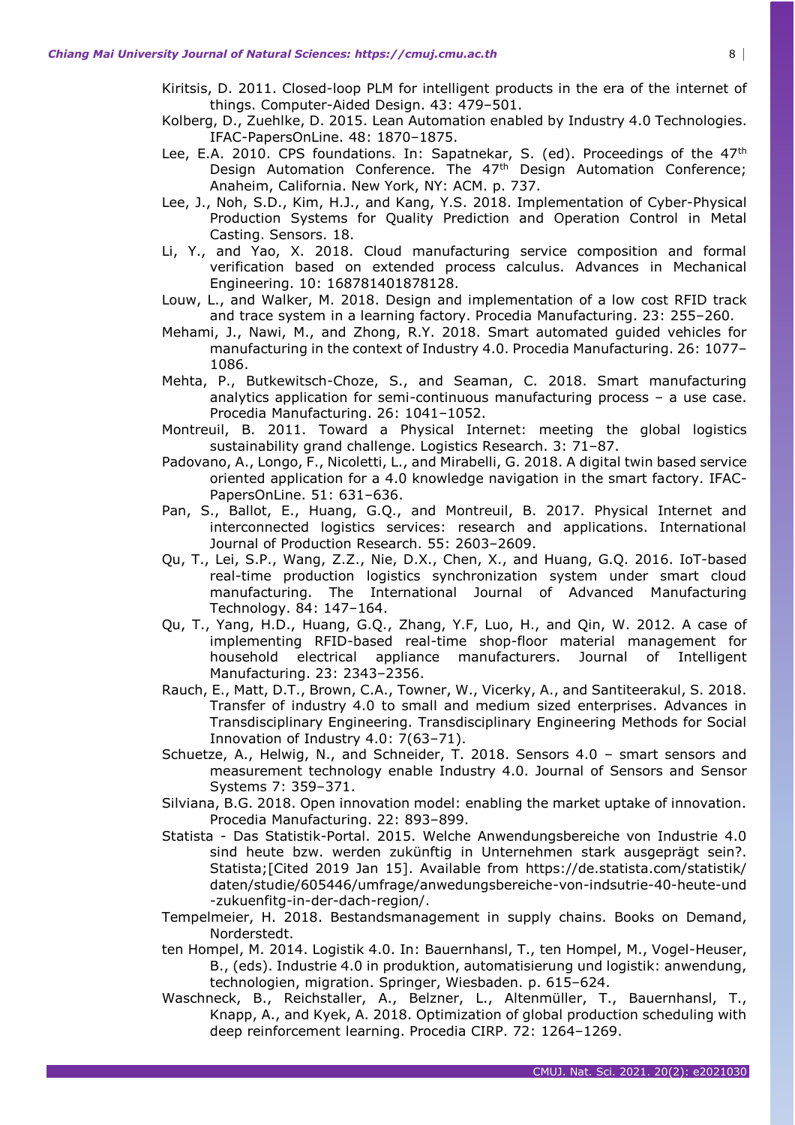- Kiritsis, D. 2011. Closed-loop PLM for intelligent products in the era of the internet of things. Computer-Aided Design. 43: 479–501.
- Kolberg, D., Zuehlke, D. 2015. Lean Automation enabled by Industry 4.0 Technologies. IFAC-PapersOnLine. 48: 1870–1875.
- Lee, E.A. 2010. CPS foundations. In: Sapatnekar, S. (ed). Proceedings of the 47<sup>th</sup> Design Automation Conference. The 47<sup>th</sup> Design Automation Conference; Anaheim, California. New York, NY: ACM. p. 737.
- Lee, J., Noh, S.D., Kim, H.J., and Kang, Y.S. 2018. Implementation of Cyber-Physical Production Systems for Quality Prediction and Operation Control in Metal Casting. Sensors. 18.
- Li, Y., and Yao, X. 2018. Cloud manufacturing service composition and formal verification based on extended process calculus. Advances in Mechanical Engineering. 10: 168781401878128.
- Louw, L., and Walker, M. 2018. Design and implementation of a low cost RFID track and trace system in a learning factory. Procedia Manufacturing. 23: 255–260.
- Mehami, J., Nawi, M., and Zhong, R.Y. 2018. Smart automated guided vehicles for manufacturing in the context of Industry 4.0. Procedia Manufacturing. 26: 1077– 1086.
- Mehta, P., Butkewitsch-Choze, S., and Seaman, C. 2018. Smart manufacturing analytics application for semi-continuous manufacturing process – a use case. Procedia Manufacturing. 26: 1041–1052.
- Montreuil, B. 2011. Toward a Physical Internet: meeting the global logistics sustainability grand challenge. Logistics Research. 3: 71–87.
- Padovano, A., Longo, F., Nicoletti, L., and Mirabelli, G. 2018. A digital twin based service oriented application for a 4.0 knowledge navigation in the smart factory. IFAC-PapersOnLine. 51: 631–636.
- Pan, S., Ballot, E., Huang, G.Q., and Montreuil, B. 2017. Physical Internet and interconnected logistics services: research and applications. International Journal of Production Research. 55: 2603–2609.
- Qu, T., Lei, S.P., Wang, Z.Z., Nie, D.X., Chen, X., and Huang, G.Q. 2016. IoT-based real-time production logistics synchronization system under smart cloud manufacturing. The International Journal of Advanced Manufacturing Technology. 84: 147–164.
- Qu, T., Yang, H.D., Huang, G.Q., Zhang, Y.F, Luo, H., and Qin, W. 2012. A case of implementing RFID-based real-time shop-floor material management for household electrical appliance manufacturers. Journal of Intelligent Manufacturing. 23: 2343–2356.
- Rauch, E., Matt, D.T., Brown, C.A., Towner, W., Vicerky, A., and Santiteerakul, S. 2018. Transfer of industry 4.0 to small and medium sized enterprises. Advances in Transdisciplinary Engineering. Transdisciplinary Engineering Methods for Social Innovation of Industry 4.0: 7(63–71).
- Schuetze, A., Helwig, N., and Schneider, T. 2018. Sensors 4.0 smart sensors and measurement technology enable Industry 4.0. Journal of Sensors and Sensor Systems 7: 359–371.
- Silviana, B.G. 2018. Open innovation model: enabling the market uptake of innovation. Procedia Manufacturing. 22: 893–899.
- Statista Das Statistik-Portal. 2015. Welche Anwendungsbereiche von Industrie 4.0 sind heute bzw. werden zukünftig in Unternehmen stark ausgeprägt sein?. Statista;[Cited 2019 Jan 15]. Available from https://de.statista.com/statistik/ daten/studie/605446/umfrage/anwedungsbereiche-von-indsutrie-40-heute-und -zukuenfitg-in-der-dach-region/.
- Tempelmeier, H. 2018. Bestandsmanagement in supply chains. Books on Demand, Norderstedt.
- ten Hompel, M. 2014. Logistik 4.0. In: Bauernhansl, T., ten Hompel, M., Vogel-Heuser, B., (eds). Industrie 4.0 in produktion, automatisierung und logistik: anwendung, technologien, migration. Springer, Wiesbaden. p. 615–624.
- Waschneck, B., Reichstaller, A., Belzner, L., Altenmüller, T., Bauernhansl, T., Knapp, A., and Kyek, A. 2018. Optimization of global production scheduling with deep reinforcement learning. Procedia CIRP. 72: 1264–1269.